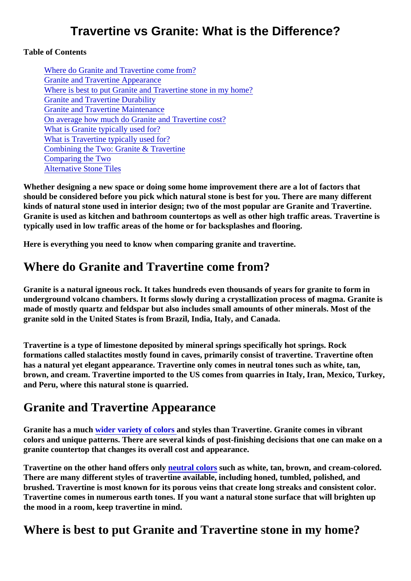#### Travertine vs Granite: What is the Difference?

Table of Contents

Where do Granite and Travertine come from? Granite and Travertine Appearance Where is best to put Granite and Travertine stone in my home? [Granite and Travertine Durabili](#page-1-0)ty [Granite and Travertine Maintenan](#page-1-0)ce [On average how much do Granite and Travertine](#page-1-0) cost? [What is Granite typically used fo](#page-1-0)r? [What is Travertine typically used fo](#page-1-0)r? [Combining the Two: Granite & Traverti](#page-2-0)ne [Comparing the Tw](#page-2-0)o [Alternative Stone Tile](#page-2-0)s

Whether designing a new space or doing some home improvement there are a lot of factors that should be considered before you pick which natural stone is best for you. There are many different kinds of natural stone used in interior design; two of the most popular are Granite and Travertine. Granite is used as kitchen and bathroom countertops as well as other high traffic areas. Travertine is typically used in low traffic areas of the home or for backsplashes and flooring.

Here is everything you need to know when comparing granite and travertine.

## Where do Granite and Travertine come from?

Granite is a natural igneous rock. It takes hundreds even thousands of years for granite to form in underground volcano chambers. It forms slowly during a crystallization process of magma. Granite is made of mostly quartz and feldspar but also includes small amounts of other minerals. Most of the granite sold in the United States is from Brazil, India, Italy, and Canada.

Travertine is a type of limestone deposited by mineral springs specifically hot springs. Rock formations called stalactites mostly found in caves, primarily consist of travertine. Travertine often has a natural yet elegant appearance. Travertine only comes in neutral tones such as white, tan, brown, and cream. Travertine imported to the US comes from quarries in Italy, Iran, Mexico, Turkey, and Peru, where this natural stone is quarried.

## Granite and Travertine Appearance

Granite has a muchwider variety of colors and styles than Travertine. Granite comes in vibrant colors and unique patterns. There are several kinds of post-finishing decisions that one can make on a granite countertop that changes its overall cost and appearance.

Travertine on the other hand offers onlyneutral colors such as white, tan, brown, and cream-colored. There are many different styles of travertine available, including honed, tumbled, polished, and brushed. Travertine is most known for its porous veins that create long streaks and consistent color. Travertine comes in numerous earth tones. If you want a natural stone surface that will brighten up the mood in a room, keep travertine in mind.

## Where is best to put Granite and Travertine stone in my home?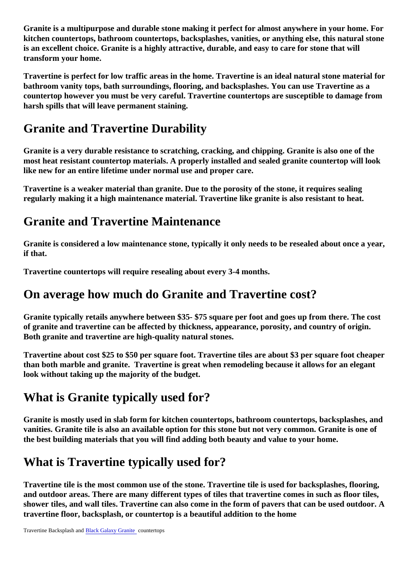<span id="page-1-0"></span>Granite is a multipurpose and durable stone making it perfect for almost anywhere in your home. For kitchen countertops, bathroom countertops, backsplashes, vanities, or anything else, this natural stone is an excellent choice. Granite is a highly attractive, durable, and easy to care for stone that will transform your home.

Travertine is perfect for low traffic areas in the home. Travertine is an ideal natural stone material for bathroom vanity tops, bath surroundings, flooring, and backsplashes. You can use Travertine as a countertop however you must be very careful. Travertine countertops are susceptible to damage from harsh spills that will leave permanent staining.

#### Granite and Travertine Durability

Granite is a very durable resistance to scratching, cracking, and chipping. Granite is also one of the most heat resistant countertop materials. A properly installed and sealed granite countertop will look like new for an entire lifetime under normal use and proper care.

Travertine is a weaker material than granite. Due to the porosity of the stone, it requires sealing regularly making it a high maintenance material. Travertine like granite is also resistant to heat.

#### Granite and Travertine Maintenance

Granite is considered a low maintenance stone, typically it only needs to be resealed about once a year, if that.

Travertine countertops will require resealing about every 3-4 months.

#### On average how much do Granite and Travertine cost?

Granite typically retails anywhere between \$35- \$75 square per foot and goes up from there. The cost of granite and travertine can be affected by thickness, appearance, porosity, and country of origin. Both granite and travertine are high-quality natural stones.

Travertine about cost \$25 to \$50 per square foot. Travertine tiles are about \$3 per square foot cheaper than both marble and granite. Travertine is great when remodeling because it allows for an elegant look without taking up the majority of the budget.

#### What is Granite typically used for?

Granite is mostly used in slab form for kitchen countertops, bathroom countertops, backsplashes, and vanities. Granite tile is also an available option for this stone but not very common. Granite is one of the best building materials that you will find adding both beauty and value to your home.

## What is Travertine typically used for?

Travertine tile is the most common use of the stone. Travertine tile is used for backsplashes, flooring, and outdoor areas. There are many different types of tiles that travertine comes in such as floor tiles, shower tiles, and wall tiles. Travertine can also come in the form of pavers that can be used outdoor. A travertine floor, backsplash, or countertop is a beautiful addition to the home